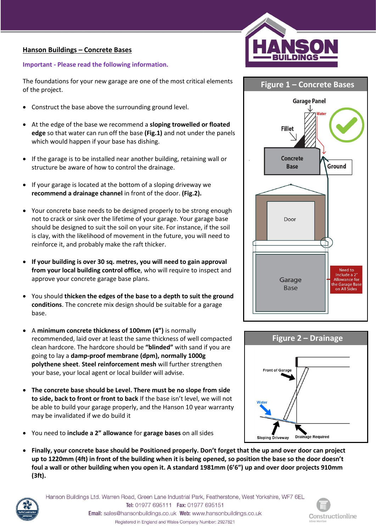# **Hanson Buildings – Concrete Bases**

# **Important - Please read the following information.**

The foundations for your new garage are one of the most critical elements of the project.

- Construct the base above the surrounding ground level.
- At the edge of the base we recommend a **sloping trowelled or floated edge** so that water can run off the base **(Fig.1)** and not under the panels which would happen if your base has dishing.
- If the garage is to be installed near another building, retaining wall or structure be aware of how to control the drainage.
- If your garage is located at the bottom of a sloping driveway we **recommend a drainage channel** in front of the door. **(Fig.2).**
- Your concrete base needs to be designed properly to be strong enough not to crack or sink over the lifetime of your garage. Your garage base should be designed to suit the soil on your site. For instance, if the soil is clay, with the likelihood of movement in the future, you will need to reinforce it, and probably make the raft thicker.
- **If your building is over 30 sq. metres, you will need to gain approval from your local building control office**, who will require to inspect and approve your concrete garage base plans.
- You should **thicken the edges of the base to a depth to suit the ground conditions**. The concrete mix design should be suitable for a garage base.
- A **minimum concrete thickness of 100mm (4")** is normally recommended, laid over at least the same thickness of well compacted clean hardcore. The hardcore should be **"blinded"** with sand if you are going to lay a **damp-proof membrane (dpm), normally 1000g polythene sheet**. **Steel reinforcement mesh** will further strengthen your base, your local agent or local builder will advise.
- **The concrete base should be Level. There must be no slope from side to side, back to front or front to back** If the base isn't level, we will not be able to build your garage properly, and the Hanson 10 year warranty may be invalidated if we do build it
- You need to **include a 2" allowance** for **garage bases** on all sides
- **Finally, your concrete base should be Positioned properly. Don't forget that the up and over door can project up to 1220mm (4ft) in front of the building when it is being opened, so position the base so the door doesn't foul a wall or other building when you open it. A standard 1981mm (6'6") up and over door projects 910mm (3ft).**



Hanson Buildings Ltd, Warren Road, Green Lane Industrial Park, Featherstone, West Yorkshire, WF7 6EL Tel: 01977 695111 Fax: 01977 695151 Registered in England and Wales Company Number: 2927821